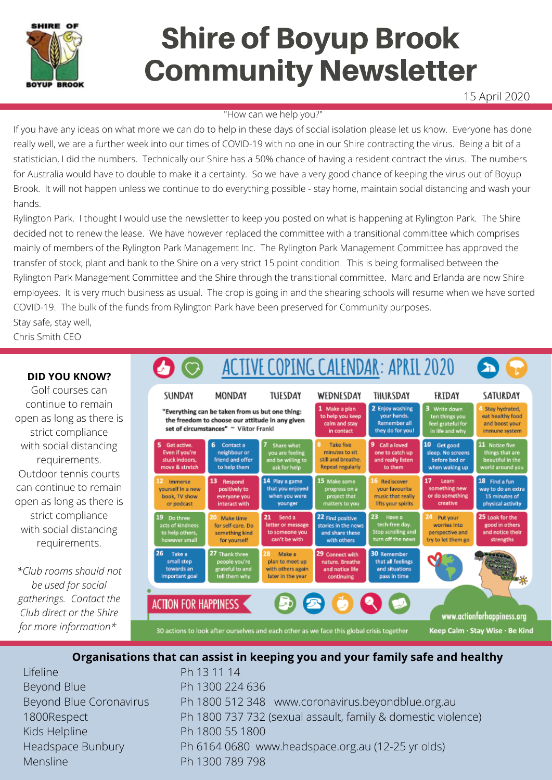

# Shire of Boyup Brook Community Newsletter

15 April 2020

#### "How can we help you?"

If you have any ideas on what more we can do to help in these days of social isolation please let us know. Everyone has done really well, we are a further week into our times of COVID-19 with no one in our Shire contracting the virus. Being a bit of a statistician, I did the numbers. Technically our Shire has a 50% chance of having a resident contract the virus. The numbers for Australia would have to double to make it a certainty. So we have a very good chance of keeping the virus out of Boyup Brook. It will not happen unless we continue to do everything possible - stay home, maintain social distancing and wash your hands.

Rylington Park. I thought I would use the newsletter to keep you posted on what is happening at Rylington Park. The Shire decided not to renew the lease. We have however replaced the committee with a transitional committee which comprises mainly of members of the Rylington Park Management Inc. The Rylington Park Management Committee has approved the transfer of stock, plant and bank to the Shire on a very strict 15 point condition. This is being formalised between the Rylington Park Management Committee and the Shire through the transitional committee. Marc and Erlanda are now Shire employees. It is very much business as usual. The crop is going in and the shearing schools will resume when we have sorted COVID-19. The bulk of the funds from Rylington Park have been preserved for Community purposes. Stay safe, stay well,

Chris Smith CEO

### **DID YOU KNOW?**

Golf courses can continue to remain open as long as there is strict compliance with social distancing requirements. Outdoor tennis courts can continue to remain open as long as there is strict compliance with social distancing requirements.

*\*Club rooms should not be used for social gatherings. Contact the Club direct or the Shire for more information\**



## **Organisations that can assist in keeping you and your family safe and healthy**

Ph 13 11 14

Lifeline Beyond Blue Beyond Blue Coronavirus 1800Respect Kids Helpline Headspace Bunbury Mensline

Ph 1300 224 636 Ph 1800 512 348 www.coronavirus.beyondblue.org.au Ph 1800 737 732 (sexual assault, family & domestic violence) Ph 1800 55 1800 Ph 6164 0680 www.headspace.org.au (12-25 yr olds) Ph 1300 789 798